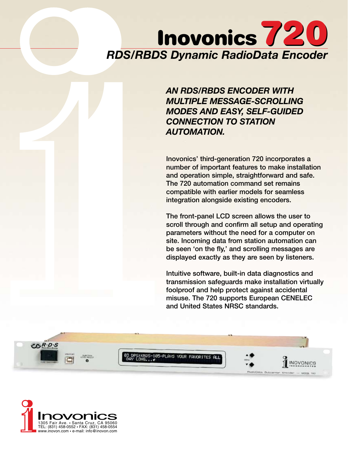# *RDS/RBDS Dynamic RadioData Encoder* Inovonics 720

*AN RDS/RBDS ENCODER WITH MULTIPLE MESSAGE-SCROLLING MODES AND EASY, SELF-GUIDED CONNECTION TO STATION AUTOMATION.*

Inovonics' third-generation 720 incorporates a number of important features to make installation and operation simple, straightforward and safe. The 720 automation command set remains compatible with earlier models for seamless integration alongside existing encoders.

The front-panel LCD screen allows the user to scroll through and confirm all setup and operating parameters without the need for a computer on site. Incoming data from station automation can be seen 'on the fly,' and scrolling messages are displayed exactly as they are seen by listeners.

Intuitive software, built-in data diagnostics and transmission safeguards make installation virtually foolproof and help protect against accidental misuse. The 720 supports European CENELEC and United States NRSC standards.